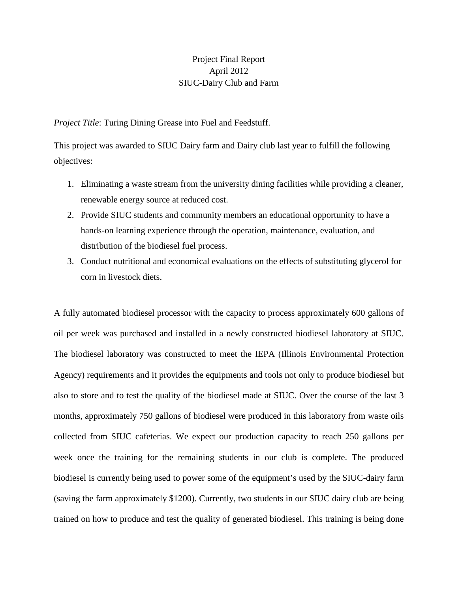## Project Final Report April 2012 SIUC-Dairy Club and Farm

*Project Title*: Turing Dining Grease into Fuel and Feedstuff.

This project was awarded to SIUC Dairy farm and Dairy club last year to fulfill the following objectives:

- 1. Eliminating a waste stream from the university dining facilities while providing a cleaner, renewable energy source at reduced cost.
- 2. Provide SIUC students and community members an educational opportunity to have a hands-on learning experience through the operation, maintenance, evaluation, and distribution of the biodiesel fuel process.
- 3. Conduct nutritional and economical evaluations on the effects of substituting glycerol for corn in livestock diets.

A fully automated biodiesel processor with the capacity to process approximately 600 gallons of oil per week was purchased and installed in a newly constructed biodiesel laboratory at SIUC. The biodiesel laboratory was constructed to meet the IEPA (Illinois Environmental Protection Agency) requirements and it provides the equipments and tools not only to produce biodiesel but also to store and to test the quality of the biodiesel made at SIUC. Over the course of the last 3 months, approximately 750 gallons of biodiesel were produced in this laboratory from waste oils collected from SIUC cafeterias. We expect our production capacity to reach 250 gallons per week once the training for the remaining students in our club is complete. The produced biodiesel is currently being used to power some of the equipment's used by the SIUC-dairy farm (saving the farm approximately \$1200). Currently, two students in our SIUC dairy club are being trained on how to produce and test the quality of generated biodiesel. This training is being done